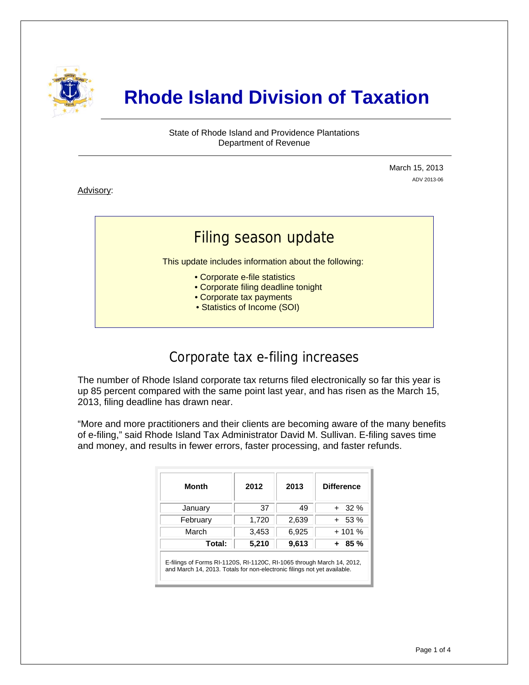

# **Rhode Island Division of Taxation**

State of Rhode Island and Providence Plantations Department of Revenue

> March 15, 2013 ADV 2013-06

Advisory:

i

# Filing season update

This update includes information about the following:

- Corporate e-file statistics
- Corporate filing deadline tonight
- Corporate tax payments
- Statistics of Income (SOI)

### Corporate tax e-filing increases

The number of Rhode Island corporate tax returns filed electronically so far this year is up 85 percent compared with the same point last year, and has risen as the March 15, 2013, filing deadline has drawn near.

"More and more practitioners and their clients are becoming aware of the many benefits of e-filing," said Rhode Island Tax Administrator David M. Sullivan. E-filing saves time and money, and results in fewer errors, faster processing, and faster refunds.

| Month    | 2012  | 2013  | <b>Difference</b> |
|----------|-------|-------|-------------------|
| January  | 37    | 49    | $+32\%$           |
| February | 1,720 | 2,639 | $+ 53 \%$         |
| March    | 3,453 | 6,925 | $+101%$           |
| Total:   | 5,210 | 9,613 | + 85 %            |

E-filings of Forms RI-1120S, RI-1120C, RI-1065 through March 14, 2012, and March 14, 2013. Totals for non-electronic filings not yet available.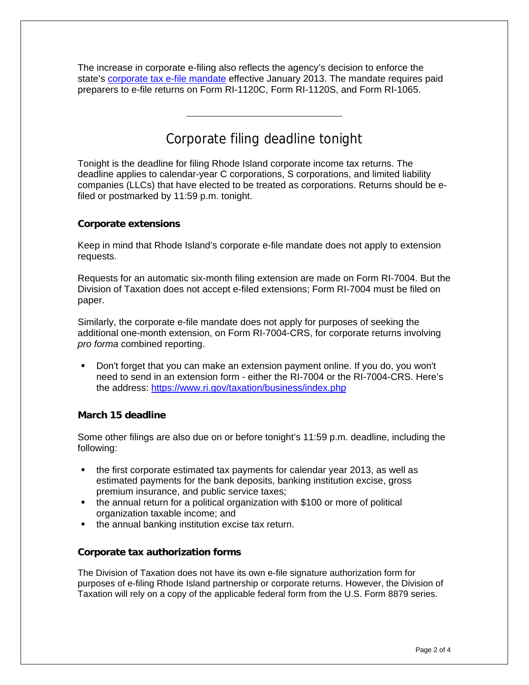The increase in corporate e-filing also reflects the agency's decision to enforce the state's [corporate tax e-file mandate](http://www.tax.ri.gov/Advisory/ADV%202012-16.pdf) effective January 2013. The mandate requires paid preparers to e-file returns on Form RI-1120C, Form RI-1120S, and Form RI-1065.

# Corporate filing deadline tonight

Tonight is the deadline for filing Rhode Island corporate income tax returns. The deadline applies to calendar-year C corporations, S corporations, and limited liability companies (LLCs) that have elected to be treated as corporations. Returns should be efiled or postmarked by 11:59 p.m. tonight.

#### **Corporate extensions**

Keep in mind that Rhode Island's corporate e-file mandate does not apply to extension requests.

Requests for an automatic six-month filing extension are made on Form RI-7004. But the Division of Taxation does not accept e-filed extensions; Form RI-7004 must be filed on paper.

Similarly, the corporate e-file mandate does not apply for purposes of seeking the additional one-month extension, on Form RI-7004-CRS, for corporate returns involving *pro forma* combined reporting.

 Don't forget that you can make an extension payment online. If you do, you won't need to send in an extension form - either the RI-7004 or the RI-7004-CRS. Here's the address:<https://www.ri.gov/taxation/business/index.php>

#### **March 15 deadline**

Some other filings are also due on or before tonight's 11:59 p.m. deadline, including the following:

- the first corporate estimated tax payments for calendar year 2013, as well as estimated payments for the bank deposits, banking institution excise, gross premium insurance, and public service taxes;
- the annual return for a political organization with \$100 or more of political organization taxable income; and
- **the annual banking institution excise tax return.**

#### **Corporate tax authorization forms**

The Division of Taxation does not have its own e-file signature authorization form for purposes of e-filing Rhode Island partnership or corporate returns. However, the Division of Taxation will rely on a copy of the applicable federal form from the U.S. Form 8879 series.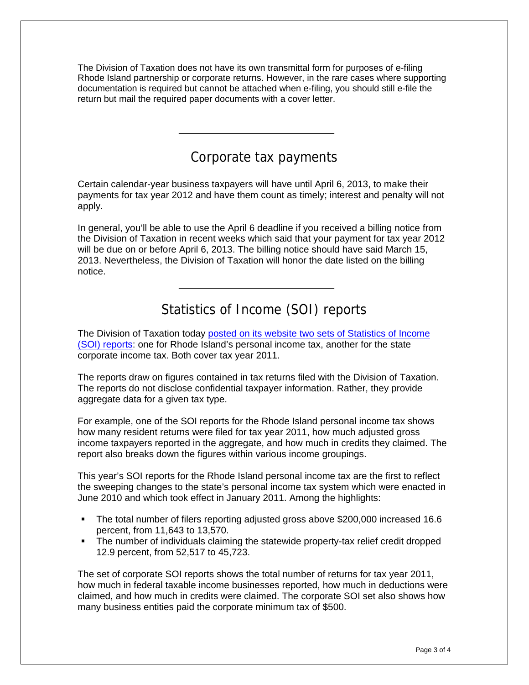The Division of Taxation does not have its own transmittal form for purposes of e-filing Rhode Island partnership or corporate returns. However, in the rare cases where supporting documentation is required but cannot be attached when e-filing, you should still e-file the return but mail the required paper documents with a cover letter.

# Corporate tax payments

Certain calendar-year business taxpayers will have until April 6, 2013, to make their payments for tax year 2012 and have them count as timely; interest and penalty will not apply.

In general, you'll be able to use the April 6 deadline if you received a billing notice from the Division of Taxation in recent weeks which said that your payment for tax year 2012 will be due on or before April 6, 2013. The billing notice should have said March 15, 2013. Nevertheless, the Division of Taxation will honor the date listed on the billing notice.

# Statistics of Income (SOI) reports

The Division of Taxation today [posted on its website two sets of Statistics of Income](http://www.tax.ri.gov/reports/index.php)  [\(SOI\) reports:](http://www.tax.ri.gov/reports/index.php) one for Rhode Island's personal income tax, another for the state corporate income tax. Both cover tax year 2011.

The reports draw on figures contained in tax returns filed with the Division of Taxation. The reports do not disclose confidential taxpayer information. Rather, they provide aggregate data for a given tax type.

For example, one of the SOI reports for the Rhode Island personal income tax shows how many resident returns were filed for tax year 2011, how much adjusted gross income taxpayers reported in the aggregate, and how much in credits they claimed. The report also breaks down the figures within various income groupings.

This year's SOI reports for the Rhode Island personal income tax are the first to reflect the sweeping changes to the state's personal income tax system which were enacted in June 2010 and which took effect in January 2011. Among the highlights:

- The total number of filers reporting adjusted gross above \$200,000 increased 16.6 percent, from 11,643 to 13,570.
- The number of individuals claiming the statewide property-tax relief credit dropped 12.9 percent, from 52,517 to 45,723.

The set of corporate SOI reports shows the total number of returns for tax year 2011, how much in federal taxable income businesses reported, how much in deductions were claimed, and how much in credits were claimed. The corporate SOI set also shows how many business entities paid the corporate minimum tax of \$500.